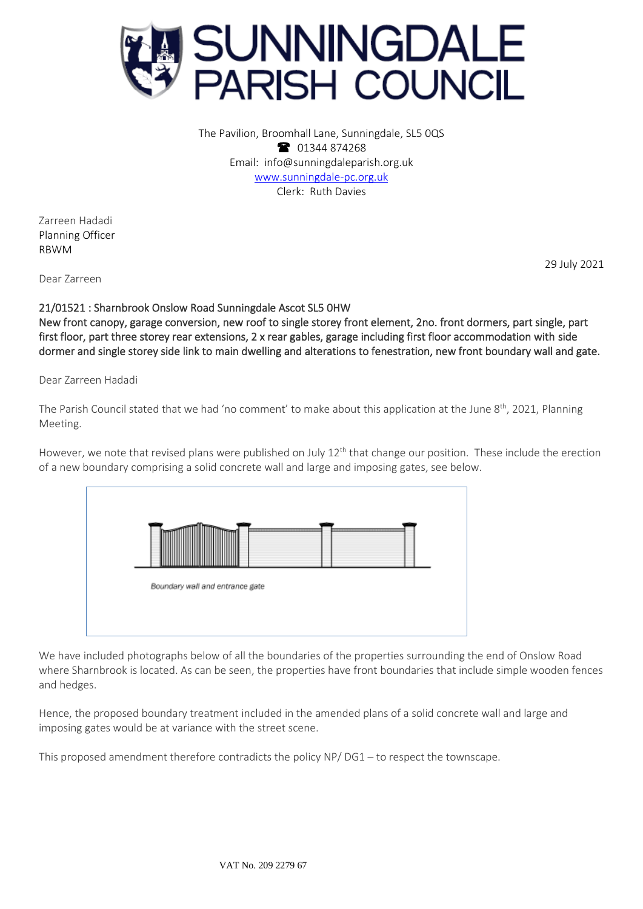

The Pavilion, Broomhall Lane, Sunningdale, SL5 0QS 1344 874268 Email: info@sunningdaleparish.org.uk [www.sunningdale-pc.org.uk](http://www.sunningdale-pc.org.uk/) Clerk: Ruth Davies

Zarreen Hadadi Planning Officer RBWM

29 July 2021

Dear Zarreen

21/01521 : Sharnbrook Onslow Road Sunningdale Ascot SL5 0HW New front canopy, garage conversion, new roof to single storey front element, 2no. front dormers, part single, part first floor, part three storey rear extensions, 2 x rear gables, garage including first floor accommodation with side dormer and single storey side link to main dwelling and alterations to fenestration, new front boundary wall and gate.

Dear Zarreen Hadadi

The Parish Council stated that we had 'no comment' to make about this application at the June 8<sup>th</sup>, 2021, Planning Meeting.

However, we note that revised plans were published on July  $12<sup>th</sup>$  that change our position. These include the erection of a new boundary comprising a solid concrete wall and large and imposing gates, see below.



We have included photographs below of all the boundaries of the properties surrounding the end of Onslow Road where Sharnbrook is located. As can be seen, the properties have front boundaries that include simple wooden fences and hedges.

Hence, the proposed boundary treatment included in the amended plans of a solid concrete wall and large and imposing gates would be at variance with the street scene.

This proposed amendment therefore contradicts the policy NP/ DG1 – to respect the townscape.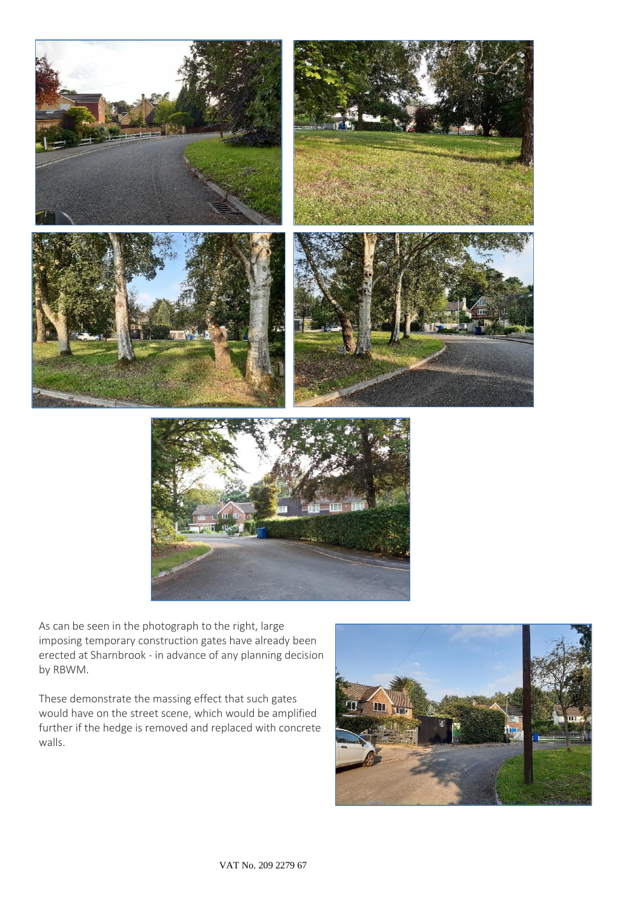

As can be seen in the photograph to the right, large imposing temporary construction gates have already been erected at Sharnbrook - in advance of any planning decision by RBWM.

These demonstrate the massing effect that such gates would have on the street scene, which would be amplified further if the hedge is removed and replaced with concrete walls.